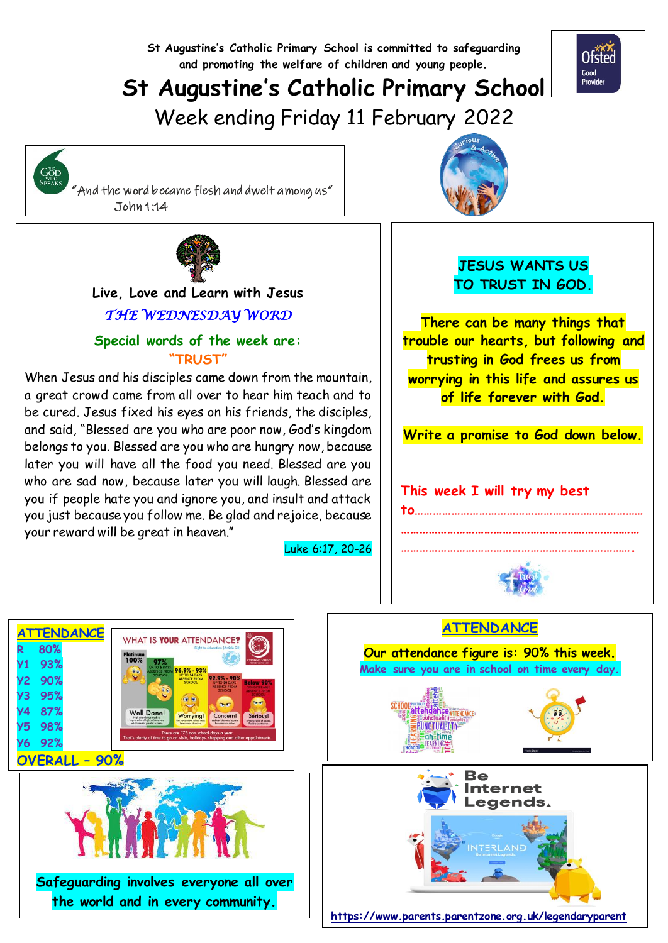**St Augustine's Catholic Primary School is committed to safeguarding and promoting the welfare of children and young people.**

# **St Augustine's Catholic Primary School**

Week ending Friday 11 February 2022

 "And the word became flesh and dwelt among us" John 1:14

GOD<br>SPEAKS



### **Live, Love and Learn with Jesus**  *THE WEDNESDAY WORD*

### **Special words of the week are: "TRUST"**

When Jesus and his disciples came down from the mountain, a great crowd came from all over to hear him teach and to be cured. Jesus fixed his eyes on his friends, the disciples, and said, "Blessed are you who are poor now, God's kingdom belongs to you. Blessed are you who are hungry now, because later you will have all the food you need. Blessed are you who are sad now, because later you will laugh. Blessed are you if people hate you and ignore you, and insult and attack you just because you follow me. Be glad and rejoice, because your reward will be great in heaven."

Luke 6:17, 20-26



### **JESUS WANTS US TO TRUST IN GOD.**

**There can be many things that trouble our hearts, but following and trusting in God frees us from worrying in this life and assures us of life forever with God.**

**Write a promise to God down below.**

### **This week I will try my best**

# **to…………………………………………………………………**



**…………………………………………………………………… ………………………………………………………………….**



**Safeguarding involves everyone all over the world and in every community.**